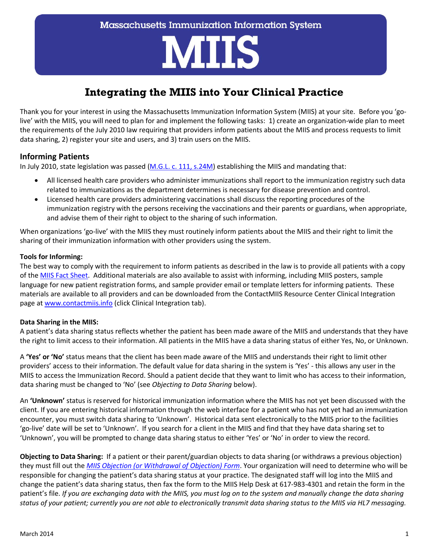# **MIIS**

# **Integrating the MIIS into Your Clinical Practice**

Thank you for your interest in using the Massachusetts Immunization Information System (MIIS) at your site. Before you 'golive' with the MIIS, you will need to plan for and implement the following tasks: 1) create an organization-wide plan to meet the requirements of the July 2010 law requiring that providers inform patients about the MIIS and process requests to limit data sharing, 2) register your site and users, and 3) train users on the MIIS.

# **Informing Patients**

In July 2010, state legislation was passed [\(M.G.L. c. 111, s.24M\)](http://www.malegislature.gov/Laws/GeneralLaws/PartI/TitleXVI/Chapter111/Section24M) establishing the MIIS and mandating that:

- All licensed health care providers who administer immunizations shall report to the immunization registry such data related to immunizations as the department determines is necessary for disease prevention and control.
- Licensed health care providers administering vaccinations shall discuss the reporting procedures of the immunization registry with the persons receiving the vaccinations and their parents or guardians, when appropriate, and advise them of their right to object to the sharing of such information.

When organizations 'go-live' with the MIIS they must routinely inform patients about the MIIS and their right to limit the sharing of their immunization information with other providers using the system.

#### **Tools for Informing:**

The best way to comply with the requirement to inform patients as described in the law is to provide all patients with a copy of the [MIIS Fact Sheet.](http://www.mass.gov/eohhs/docs/dph/cdc/immunization/miis-parents-patients.pdf) Additional materials are also available to assist with informing, including MIIS posters, sample language for new patient registration forms, and sample provider email or template letters for informing patients. These materials are available to all providers and can be downloaded from the ContactMIIS Resource Center Clinical Integration page a[t www.contactmiis.info](http://www.contactmiis.info/) (click Clinical Integration tab).

#### **Data Sharing in the MIIS:**

A patient's data sharing status reflects whether the patient has been made aware of the MIIS and understands that they have the right to limit access to their information. All patients in the MIIS have a data sharing status of either Yes, No, or Unknown.

A **'Yes' or 'No'** status means that the client has been made aware of the MIIS and understands their right to limit other providers' access to their information. The default value for data sharing in the system is 'Yes' - this allows any user in the MIIS to access the Immunization Record. Should a patient decide that they want to limit who has access to their information, data sharing must be changed to 'No' (see *Objecting to Data Sharing* below).

An **'Unknown'** status is reserved for historical immunization information where the MIIS has not yet been discussed with the client. If you are entering historical information through the web interface for a patient who has not yet had an immunization encounter, you must switch data sharing to 'Unknown'. Historical data sent electronically to the MIIS prior to the facilities 'go-live' date will be set to 'Unknown'. If you search for a client in the MIIS and find that they have data sharing set to 'Unknown', you will be prompted to change data sharing status to either 'Yes' or 'No' in order to view the record.

**Objecting to Data Sharing:** If a patient or their parent/guardian objects to data sharing (or withdraws a previous objection) they must fill out the *[MIIS Objection \(or Withdrawal of Objection\) Form](http://www.contactmiis.info/FileSystem/Draft/MIIS%20Objection%20Form%20redraft%20FINAL%2011%2029%2011.pdf)*. Your organization will need to determine who will be responsible for changing the patient's data sharing status at your practice. The designated staff will log into the MIIS and change the patient's data sharing status, then fax the form to the MIIS Help Desk at 617-983-4301 and retain the form in the patient's file. *If you are exchanging data with the MIIS, you must log on to the system and manually change the data sharing status of your patient; currently you are not able to electronically transmit data sharing status to the MIIS via HL7 messaging.*